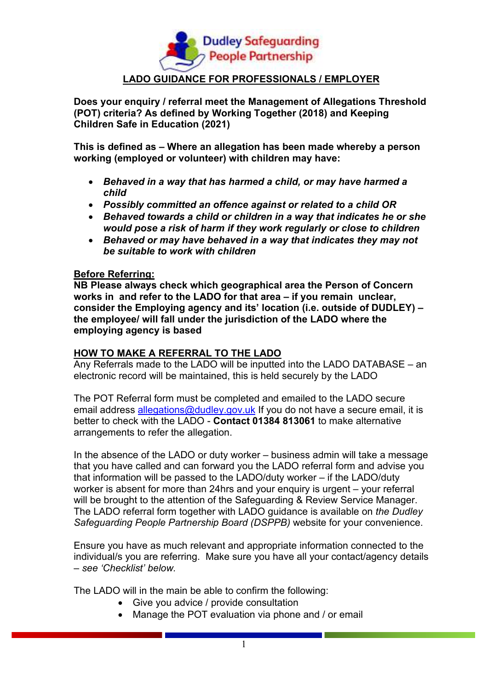

**Does your enquiry / referral meet the Management of Allegations Threshold (POT) criteria? As defined by Working Together (2018) and Keeping Children Safe in Education (2021)** 

**This is defined as – Where an allegation has been made whereby a person working (employed or volunteer) with children may have:** 

- *Behaved in a way that has harmed a child, or may have harmed a child*
- *Possibly committed an offence against or related to a child OR*
- *Behaved towards a child or children in a way that indicates he or she would pose a risk of harm if they work regularly or close to children*
- *Behaved or may have behaved in a way that indicates they may not be suitable to work with children*

#### **Before Referring:**

**NB Please always check which geographical area the Person of Concern works in and refer to the LADO for that area – if you remain unclear, consider the Employing agency and its' location (i.e. outside of DUDLEY) – the employee/ will fall under the jurisdiction of the LADO where the employing agency is based** 

## **HOW TO MAKE A REFERRAL TO THE LADO**

Any Referrals made to the LADO will be inputted into the LADO DATABASE – an electronic record will be maintained, this is held securely by the LADO

The POT Referral form must be completed and emailed to the LADO secure email address allegations@dudley.gov.uk If you do not have a secure email, it is better to check with the LADO - **Contact 01384 813061** to make alternative arrangements to refer the allegation.

In the absence of the LADO or duty worker – business admin will take a message that you have called and can forward you the LADO referral form and advise you that information will be passed to the LADO/duty worker – if the LADO/duty worker is absent for more than 24hrs and your enquiry is urgent – your referral will be brought to the attention of the Safeguarding & Review Service Manager. The LADO referral form together with LADO guidance is available on *the Dudley Safeguarding People Partnership Board (DSPPB)* website for your convenience.

Ensure you have as much relevant and appropriate information connected to the individual/s you are referring. Make sure you have all your contact/agency details – *see 'Checklist' below.*

The LADO will in the main be able to confirm the following:

- Give you advice / provide consultation
- Manage the POT evaluation via phone and / or email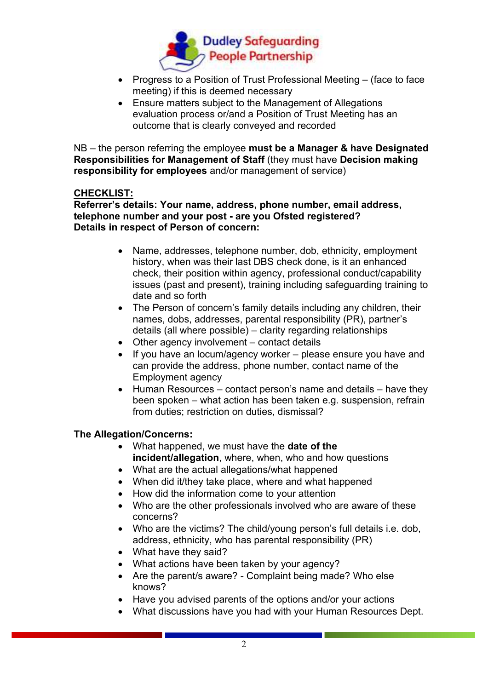

- Progress to a Position of Trust Professional Meeting (face to face meeting) if this is deemed necessary
- Ensure matters subject to the Management of Allegations evaluation process or/and a Position of Trust Meeting has an outcome that is clearly conveyed and recorded

NB – the person referring the employee **must be a Manager & have Designated Responsibilities for Management of Staff** (they must have **Decision making responsibility for employees** and/or management of service)

# **CHECKLIST:**

**Referrer's details: Your name, address, phone number, email address, telephone number and your post - are you Ofsted registered? Details in respect of Person of concern:** 

- Name, addresses, telephone number, dob, ethnicity, employment history, when was their last DBS check done, is it an enhanced check, their position within agency, professional conduct/capability issues (past and present), training including safeguarding training to date and so forth
- The Person of concern's family details including any children, their names, dobs, addresses, parental responsibility (PR), partner's details (all where possible) – clarity regarding relationships
- Other agency involvement contact details
- If you have an locum/agency worker please ensure you have and can provide the address, phone number, contact name of the Employment agency
- Human Resources contact person's name and details have they been spoken – what action has been taken e.g. suspension, refrain from duties; restriction on duties, dismissal?

## **The Allegation/Concerns:**

- What happened, we must have the **date of the incident/allegation**, where, when, who and how questions
- What are the actual allegations/what happened
- When did it/they take place, where and what happened
- How did the information come to your attention
- Who are the other professionals involved who are aware of these concerns?
- Who are the victims? The child/young person's full details i.e. dob, address, ethnicity, who has parental responsibility (PR)
- What have they said?
- What actions have been taken by your agency?
- Are the parent/s aware? Complaint being made? Who else knows?
- Have you advised parents of the options and/or your actions
- What discussions have you had with your Human Resources Dept.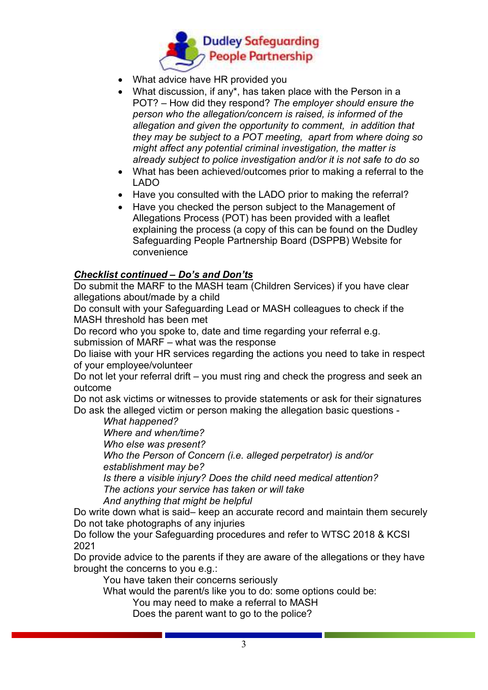

- What advice have HR provided you
- What discussion, if any\*, has taken place with the Person in a POT? – How did they respond? *The employer should ensure the person who the allegation/concern is raised, is informed of the allegation and given the opportunity to comment, in addition that they may be subject to a POT meeting, apart from where doing so might affect any potential criminal investigation, the matter is already subject to police investigation and/or it is not safe to do so*
- What has been achieved/outcomes prior to making a referral to the LADO
- Have you consulted with the LADO prior to making the referral?
- Have you checked the person subject to the Management of Allegations Process (POT) has been provided with a leaflet explaining the process (a copy of this can be found on the Dudley Safeguarding People Partnership Board (DSPPB) Website for convenience

# *Checklist continued – Do's and Don'ts*

Do submit the MARF to the MASH team (Children Services) if you have clear allegations about/made by a child

Do consult with your Safeguarding Lead or MASH colleagues to check if the MASH threshold has been met

Do record who you spoke to, date and time regarding your referral e.g. submission of MARF – what was the response

Do liaise with your HR services regarding the actions you need to take in respect of your employee/volunteer

Do not let your referral drift – you must ring and check the progress and seek an outcome

Do not ask victims or witnesses to provide statements or ask for their signatures Do ask the alleged victim or person making the allegation basic questions -

*What happened?* 

*Where and when/time?* 

*Who else was present?* 

*Who the Person of Concern (i.e. alleged perpetrator) is and/or establishment may be?* 

*Is there a visible injury? Does the child need medical attention? The actions your service has taken or will take And anything that might be helpful* 

Do write down what is said– keep an accurate record and maintain them securely Do not take photographs of any injuries

Do follow the your Safeguarding procedures and refer to WTSC 2018 & KCSI 2021

Do provide advice to the parents if they are aware of the allegations or they have brought the concerns to you e.g.:

You have taken their concerns seriously

What would the parent/s like you to do: some options could be:

You may need to make a referral to MASH

Does the parent want to go to the police?